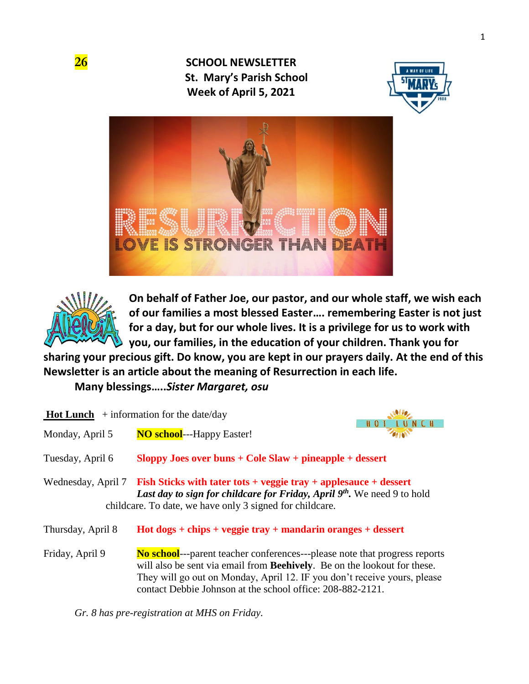







**On behalf of Father Joe, our pastor, and our whole staff, we wish each of our families a most blessed Easter…. remembering Easter is not just for a day, but for our whole lives. It is a privilege for us to work with you, our families, in the education of your children. Thank you for** 

**sharing your precious gift. Do know, you are kept in our prayers daily. At the end of this Newsletter is an article about the meaning of Resurrection in each life.** 

**Many blessings…..***Sister Margaret, osu*

| <b>Hot Lunch</b> $+$ information for the date/day |                                                                                                                                                                                                                                                                                                          |
|---------------------------------------------------|----------------------------------------------------------------------------------------------------------------------------------------------------------------------------------------------------------------------------------------------------------------------------------------------------------|
| Monday, April 5                                   | <b>NO school---Happy Easter!</b>                                                                                                                                                                                                                                                                         |
| Tuesday, April 6                                  | $Sloppy$ Joes over buns + Cole $Slaw + pineapple + desert$                                                                                                                                                                                                                                               |
| Wednesday, April 7                                | Fish Sticks with tater tots + veggie tray + applesauce + dessert<br>Last day to sign for childcare for Friday, April $9th$ . We need 9 to hold<br>childcare. To date, we have only 3 signed for childcare.                                                                                               |
| Thursday, April 8                                 | $\text{Hot } \text{dogs} + \text{chips} + \text{veggie } \text{tray} + \text{mandarin } \text{oranges} + \text{dessert}$                                                                                                                                                                                 |
| Friday, April 9                                   | No school---parent teacher conferences---please note that progress reports<br>will also be sent via email from <b>Beehively</b> . Be on the lookout for these.<br>They will go out on Monday, April 12. IF you don't receive yours, please<br>contact Debbie Johnson at the school office: 208-882-2121. |

*Gr. 8 has pre-registration at MHS on Friday.*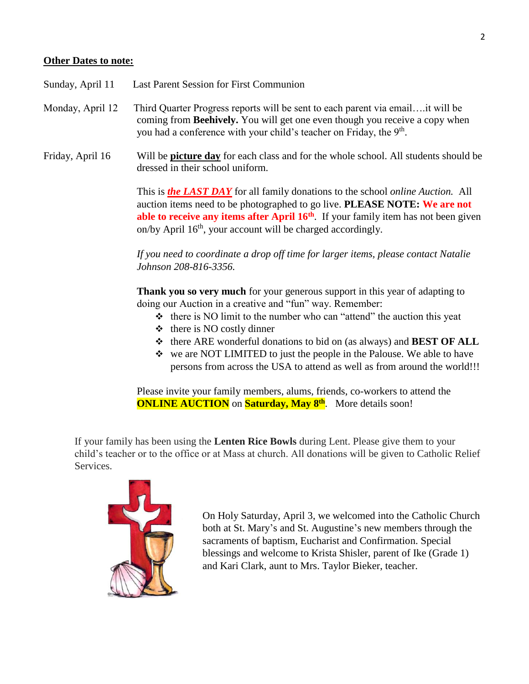## **Other Dates to note:**

- Sunday, April 11 Last Parent Session for First Communion
- Monday, April 12 Third Quarter Progress reports will be sent to each parent via email….it will be coming from **Beehively.** You will get one even though you receive a copy when you had a conference with your child's teacher on Friday, the 9<sup>th</sup>.
- Friday, April 16 Will be **picture day** for each class and for the whole school. All students should be dressed in their school uniform.

This is *the LAST DAY* for all family donations to the school *online Auction.* All auction items need to be photographed to go live. **PLEASE NOTE: We are not able to receive any items after April 16th**. If your family item has not been given on/by April 16th, your account will be charged accordingly.

*If you need to coordinate a drop off time for larger items, please contact Natalie Johnson 208-816-3356.* 

**Thank you so very much** for your generous support in this year of adapting to doing our Auction in a creative and "fun" way. Remember:

- ❖ there is NO limit to the number who can "attend" the auction this yeat
- ❖ there is NO costly dinner
- ❖ there ARE wonderful donations to bid on (as always) and **BEST OF ALL**
- ❖ we are NOT LIMITED to just the people in the Palouse. We able to have persons from across the USA to attend as well as from around the world!!!

Please invite your family members, alums, friends, co-workers to attend the **ONLINE AUCTION** on **Saturday, May 8<sup>th</sup>**. More details soon!

If your family has been using the **Lenten Rice Bowls** during Lent. Please give them to your child's teacher or to the office or at Mass at church. All donations will be given to Catholic Relief Services.



On Holy Saturday, April 3, we welcomed into the Catholic Church both at St. Mary's and St. Augustine's new members through the sacraments of baptism, Eucharist and Confirmation. Special blessings and welcome to Krista Shisler, parent of Ike (Grade 1) and Kari Clark, aunt to Mrs. Taylor Bieker, teacher.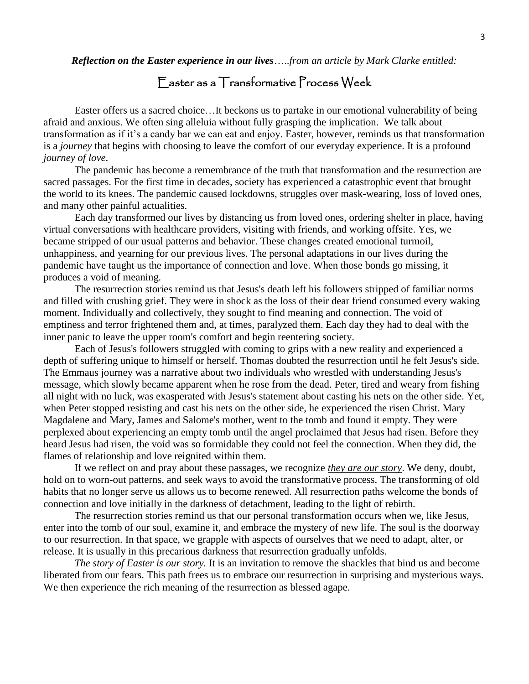*Reflection on the Easter experience in our lives*…..*from an article by Mark Clarke entitled:*

Easter as a Transformative Process Week

Easter offers us a sacred choice…It beckons us to partake in our emotional vulnerability of being afraid and anxious. We often sing alleluia without fully grasping the implication. We talk about transformation as if it's a candy bar we can eat and enjoy. Easter, however, reminds us that transformation is a *journey* that begins with choosing to leave the comfort of our everyday experience. It is a profound *journey of love*.

The pandemic has become a remembrance of the truth that transformation and the resurrection are sacred passages. For the first time in decades, society has experienced a catastrophic event that brought the world to its knees. The pandemic caused lockdowns, struggles over mask-wearing, loss of loved ones, and many other painful actualities.

Each day transformed our lives by distancing us from loved ones, ordering shelter in place, having virtual conversations with healthcare providers, visiting with friends, and working offsite. Yes, we became stripped of our usual patterns and behavior. These changes created emotional turmoil, unhappiness, and yearning for our previous lives. The personal adaptations in our lives during the pandemic have taught us the importance of connection and love. When those bonds go missing, it produces a void of meaning.

The resurrection stories remind us that Jesus's death left his followers stripped of familiar norms and filled with crushing grief. They were in shock as the loss of their dear friend consumed every waking moment. Individually and collectively, they sought to find meaning and connection. The void of emptiness and terror frightened them and, at times, paralyzed them. Each day they had to deal with the inner panic to leave the upper room's comfort and begin reentering society.

Each of Jesus's followers struggled with coming to grips with a new reality and experienced a depth of suffering unique to himself or herself. Thomas doubted the resurrection until he felt Jesus's side. The Emmaus journey was a narrative about two individuals who wrestled with understanding Jesus's message, which slowly became apparent when he rose from the dead. Peter, tired and weary from fishing all night with no luck, was exasperated with Jesus's statement about casting his nets on the other side. Yet, when Peter stopped resisting and cast his nets on the other side, he experienced the risen Christ. Mary Magdalene and Mary, James and Salome's mother, went to the tomb and found it empty. They were perplexed about experiencing an empty tomb until the angel proclaimed that Jesus had risen. Before they heard Jesus had risen, the void was so formidable they could not feel the connection. When they did, the flames of relationship and love reignited within them.

If we reflect on and pray about these passages, we recognize *they are our story*. We deny, doubt, hold on to worn-out patterns, and seek ways to avoid the transformative process. The transforming of old habits that no longer serve us allows us to become renewed. All resurrection paths welcome the bonds of connection and love initially in the darkness of detachment, leading to the light of rebirth.

The resurrection stories remind us that our personal transformation occurs when we, like Jesus, enter into the tomb of our soul, examine it, and embrace the mystery of new life. The soul is the doorway to our resurrection. In that space, we grapple with aspects of ourselves that we need to adapt, alter, or release. It is usually in this precarious darkness that resurrection gradually unfolds.

*The story of Easter is our story.* It is an invitation to remove the shackles that bind us and become liberated from our fears. This path frees us to embrace our resurrection in surprising and mysterious ways. We then experience the rich meaning of the resurrection as blessed agape.